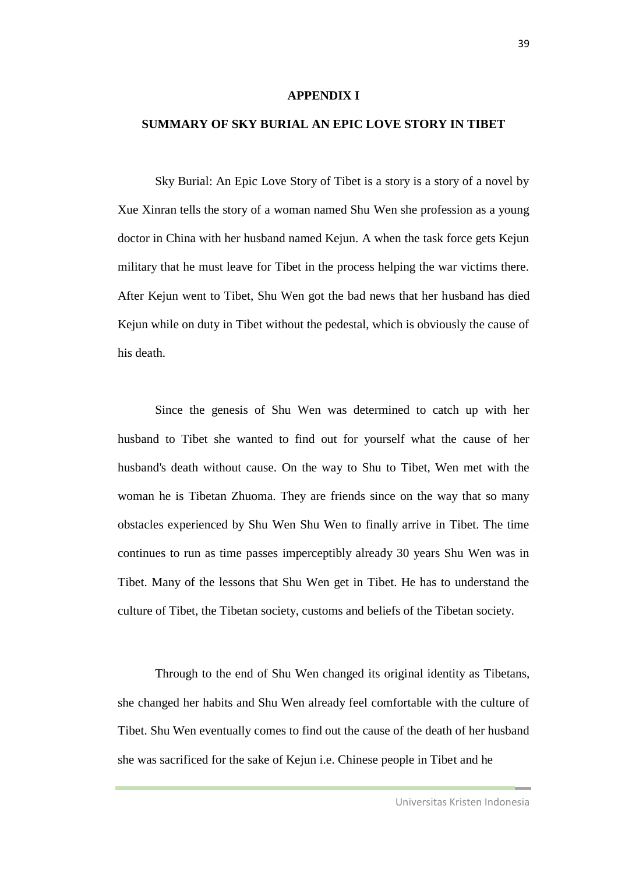## **APPENDIX I**

## **SUMMARY OF SKY BURIAL AN EPIC LOVE STORY IN TIBET**

Sky Burial: An Epic Love Story of Tibet is a story is a story of a novel by Xue Xinran tells the story of a woman named Shu Wen she profession as a young doctor in China with her husband named Kejun. A when the task force gets Kejun military that he must leave for Tibet in the process helping the war victims there. After Kejun went to Tibet, Shu Wen got the bad news that her husband has died Kejun while on duty in Tibet without the pedestal, which is obviously the cause of his death.

Since the genesis of Shu Wen was determined to catch up with her husband to Tibet she wanted to find out for yourself what the cause of her husband's death without cause. On the way to Shu to Tibet, Wen met with the woman he is Tibetan Zhuoma. They are friends since on the way that so many obstacles experienced by Shu Wen Shu Wen to finally arrive in Tibet. The time continues to run as time passes imperceptibly already 30 years Shu Wen was in Tibet. Many of the lessons that Shu Wen get in Tibet. He has to understand the culture of Tibet, the Tibetan society, customs and beliefs of the Tibetan society.

Through to the end of Shu Wen changed its original identity as Tibetans, she changed her habits and Shu Wen already feel comfortable with the culture of Tibet. Shu Wen eventually comes to find out the cause of the death of her husband she was sacrificed for the sake of Kejun i.e. Chinese people in Tibet and he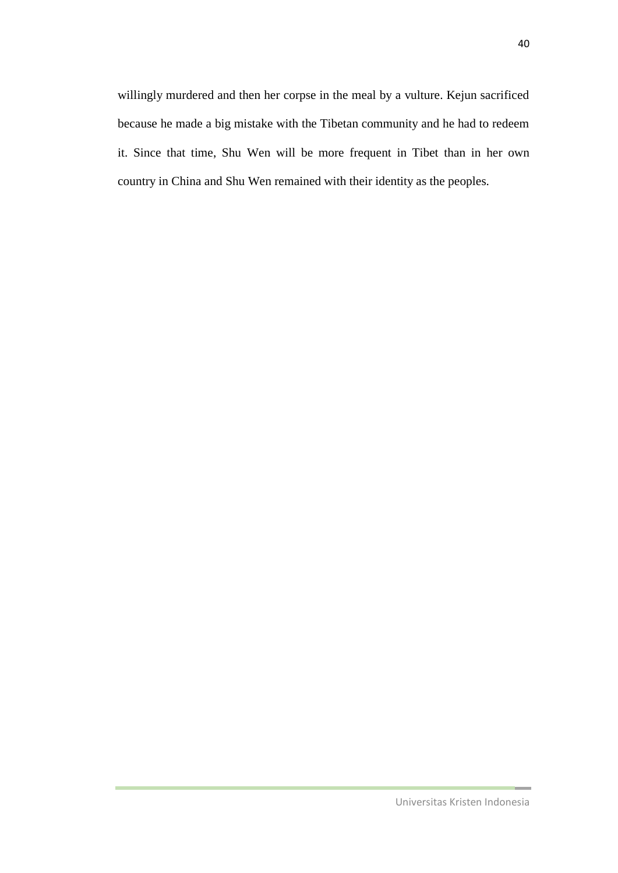willingly murdered and then her corpse in the meal by a vulture. Kejun sacrificed because he made a big mistake with the Tibetan community and he had to redeem it. Since that time, Shu Wen will be more frequent in Tibet than in her own country in China and Shu Wen remained with their identity as the peoples.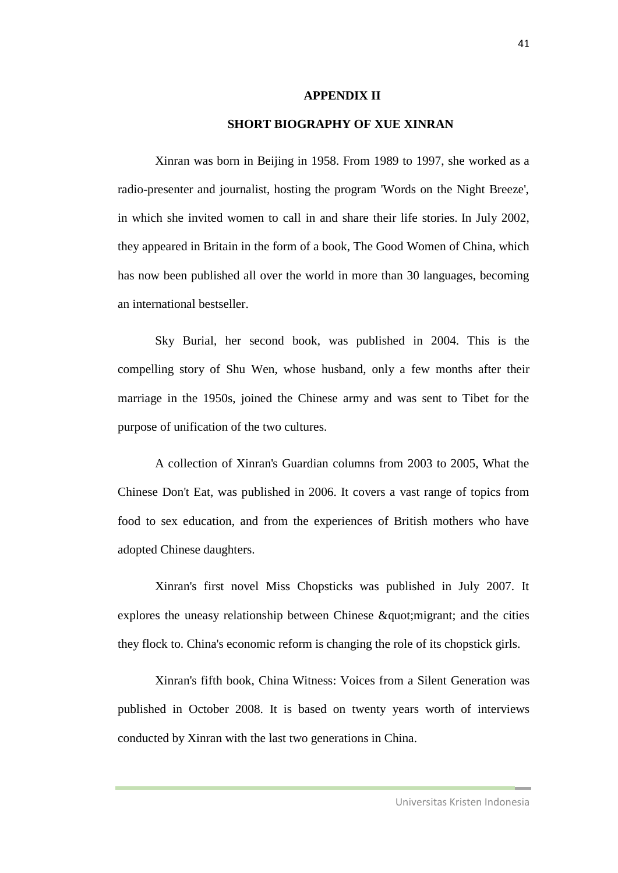## **APPENDIX II**

## **SHORT BIOGRAPHY OF XUE XINRAN**

Xinran was born in Beijing in 1958. From 1989 to 1997, she worked as a radio-presenter and journalist, hosting the program 'Words on the Night Breeze', in which she invited women to call in and share their life stories. In July 2002, they appeared in Britain in the form of a book, The Good Women of China, which has now been published all over the world in more than 30 languages, becoming an international bestseller.

Sky Burial, her second book, was published in 2004. This is the compelling story of Shu Wen, whose husband, only a few months after their marriage in the 1950s, joined the Chinese army and was sent to Tibet for the purpose of unification of the two cultures.

A collection of Xinran's Guardian columns from 2003 to 2005, What the Chinese Don't Eat, was published in 2006. It covers a vast range of topics from food to sex education, and from the experiences of British mothers who have adopted Chinese daughters.

Xinran's first novel Miss Chopsticks was published in July 2007. It explores the uneasy relationship between Chinese  $\&$  quot; migrant; and the cities they flock to. China's economic reform is changing the role of its chopstick girls.

Xinran's fifth book, China Witness: Voices from a Silent Generation was published in October 2008. It is based on twenty years worth of interviews conducted by Xinran with the last two generations in China.